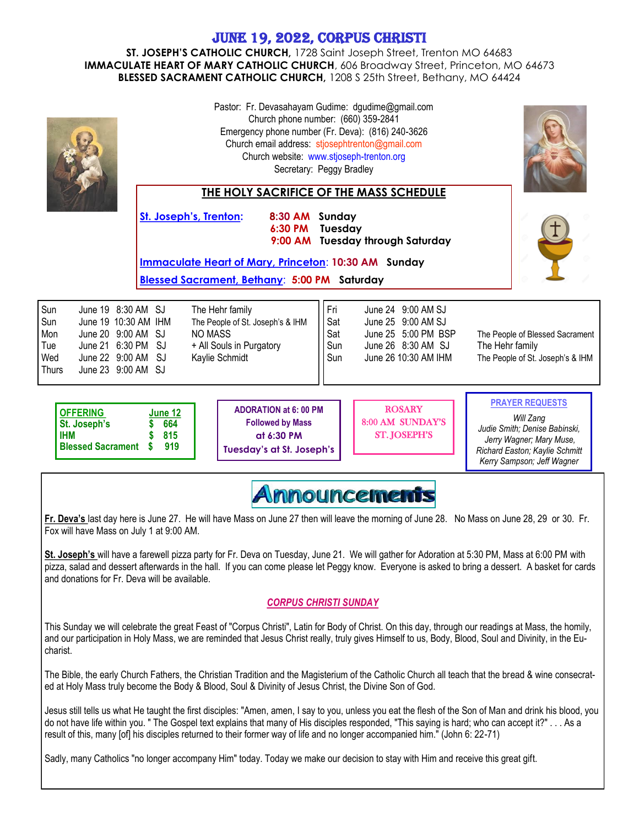## June 19, 2022, corpus christi

**ST. JOSEPH'S CATHOLIC CHURCH,** 1728 Saint Joseph Street, Trenton MO 64683 **IMMACULATE HEART OF MARY CATHOLIC CHURCH**, 606 Broadway Street, Princeton, MO 64673 **BLESSED SACRAMENT CATHOLIC CHURCH,** 1208 S 25th Street, Bethany, MO 64424

|                                                                                                                                                                                                                                                                                                                    | Pastor: Fr. Devasahayam Gudime: dgudime@gmail.com<br>Church phone number: (660) 359-2841<br>Emergency phone number (Fr. Deva): (816) 240-3626<br>Church email address: stjosephtrenton@gmail.com<br>Church website: www.stjoseph-trenton.org<br>Secretary: Peggy Bradley<br>THE HOLY SACRIFICE OF THE MASS SCHEDULE |                                                                                                                                                            |                                 |                                                                                                               |                                                                                                                                                                  |
|--------------------------------------------------------------------------------------------------------------------------------------------------------------------------------------------------------------------------------------------------------------------------------------------------------------------|---------------------------------------------------------------------------------------------------------------------------------------------------------------------------------------------------------------------------------------------------------------------------------------------------------------------|------------------------------------------------------------------------------------------------------------------------------------------------------------|---------------------------------|---------------------------------------------------------------------------------------------------------------|------------------------------------------------------------------------------------------------------------------------------------------------------------------|
|                                                                                                                                                                                                                                                                                                                    | <b>St. Joseph's, Trenton:</b>                                                                                                                                                                                                                                                                                       | 8:30 AM Sunday<br>6:30 PM<br>9:00 AM<br><b>Immaculate Heart of Mary, Princeton: 10:30 AM Sunday</b><br><b>Blessed Sacrament, Bethany: 5:00 PM Saturday</b> | Tuesday                         | <b>Tuesday through Saturday</b>                                                                               |                                                                                                                                                                  |
| Sun<br>June 19 8:30 AM SJ<br>The Hehr family<br>Sun<br>June 19 10:30 AM IHM<br>The People of St. Joseph's & IHM<br>June 20 9:00 AM SJ<br><b>NO MASS</b><br>Mon<br>Tue<br>June 21 6:30 PM<br>SJ<br>+ All Souls in Purgatory<br>Wed<br>June 22 9:00 AM<br>SJ<br>Kaylie Schmidt<br><b>Thurs</b><br>June 23 9:00 AM SJ |                                                                                                                                                                                                                                                                                                                     |                                                                                                                                                            | Fri<br>Sat<br>Sat<br>Sun<br>Sun | June 24 9:00 AM SJ<br>June 25 9:00 AM SJ<br>June 25 5:00 PM BSP<br>June 26 8:30 AM SJ<br>June 26 10:30 AM IHM | The People of Blessed Sacrament<br>The Hehr family<br>The People of St. Joseph's & IHM                                                                           |
| <b>OFFERING</b><br>St. Joseph's<br><b>IHM</b><br><b>Blessed Sacrament</b>                                                                                                                                                                                                                                          | June 12<br>664<br>815<br>919                                                                                                                                                                                                                                                                                        | <b>ADORATION at 6: 00 PM</b><br><b>Followed by Mass</b><br>at 6:30 PM<br><b>Tuesday's at St. Joseph's</b>                                                  |                                 | <b>ROSARY</b><br>8:00 AM SUNDAY'S<br><b>ST. JOSEPH'S</b>                                                      | <b>PRAYER REQUESTS</b><br>Will Zang<br>Judie Smith; Denise Babinski,<br>Jerry Wagner; Mary Muse,<br>Richard Easton; Kaylie Schmitt<br>Kerry Sampson; Jeff Wagner |
| mouncem <b>ents</b>                                                                                                                                                                                                                                                                                                |                                                                                                                                                                                                                                                                                                                     |                                                                                                                                                            |                                 |                                                                                                               |                                                                                                                                                                  |

**Fr. Deva's** last day here is June 27. He will have Mass on June 27 then will leave the morning of June 28. No Mass on June 28, 29 or 30. Fr. Fox will have Mass on July 1 at 9:00 AM.

**St. Joseph's** will have a farewell pizza party for Fr. Deva on Tuesday, June 21. We will gather for Adoration at 5:30 PM, Mass at 6:00 PM with pizza, salad and dessert afterwards in the hall. If you can come please let Peggy know. Everyone is asked to bring a dessert. A basket for cards and donations for Fr. Deva will be available.

## *CORPUS CHRISTI SUNDAY*

This Sunday we will celebrate the great Feast of "Corpus Christi", Latin for Body of Christ. On this day, through our readings at Mass, the homily, and our participation in Holy Mass, we are reminded that Jesus Christ really, truly gives Himself to us, Body, Blood, Soul and Divinity, in the Eucharist.

The Bible, the early Church Fathers, the Christian Tradition and the Magisterium of the Catholic Church all teach that the bread & wine consecrated at Holy Mass truly become the Body & Blood, Soul & Divinity of Jesus Christ, the Divine Son of God.

Jesus still tells us what He taught the first disciples: "Amen, amen, I say to you, unless you eat the flesh of the Son of Man and drink his blood, you do not have life within you. " The Gospel text explains that many of His disciples responded, "This saying is hard; who can accept it?" . . . As a result of this, many [of] his disciples returned to their former way of life and no longer accompanied him." (John 6: 22-71)

Sadly, many Catholics "no longer accompany Him" today. Today we make our decision to stay with Him and receive this great gift.